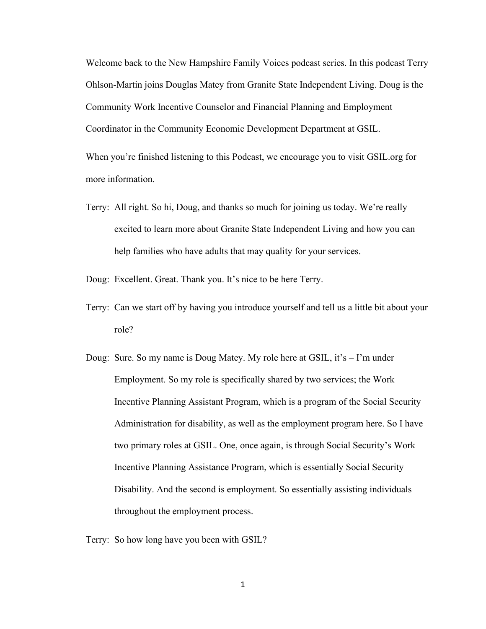Welcome back to the New Hampshire Family Voices podcast series. In this podcast Terry Ohlson-Martin joins Douglas Matey from Granite State Independent Living. Doug is the Community Work Incentive Counselor and Financial Planning and Employment Coordinator in the Community Economic Development Department at GSIL.

When you're finished listening to this Podcast, we encourage you to visit GSIL.org for more information.

Terry: All right. So hi, Doug, and thanks so much for joining us today. We're really excited to learn more about Granite State Independent Living and how you can help families who have adults that may quality for your services.

Doug: Excellent. Great. Thank you. It's nice to be here Terry.

- Terry: Can we start off by having you introduce yourself and tell us a little bit about your role?
- Doug: Sure. So my name is Doug Matey. My role here at GSIL, it's I'm under Employment. So my role is specifically shared by two services; the Work Incentive Planning Assistant Program, which is a program of the Social Security Administration for disability, as well as the employment program here. So I have two primary roles at GSIL. One, once again, is through Social Security's Work Incentive Planning Assistance Program, which is essentially Social Security Disability. And the second is employment. So essentially assisting individuals throughout the employment process.

Terry: So how long have you been with GSIL?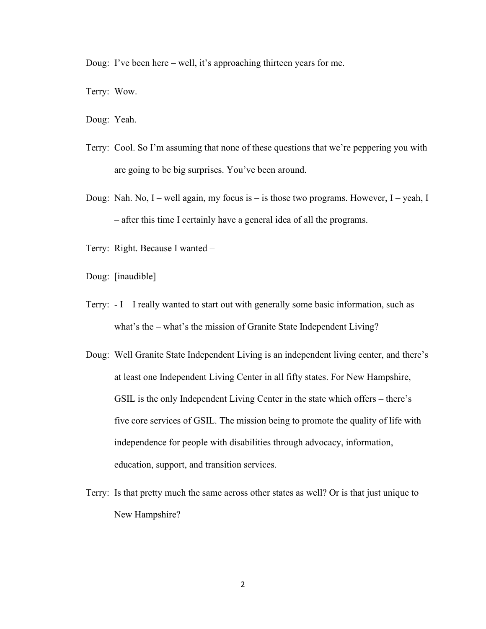Doug: I've been here – well, it's approaching thirteen years for me.

Terry: Wow.

Doug: Yeah.

- Terry: Cool. So I'm assuming that none of these questions that we're peppering you with are going to be big surprises. You've been around.
- Doug: Nah. No, I well again, my focus is is those two programs. However, I yeah, I – after this time I certainly have a general idea of all the programs.
- Terry: Right. Because I wanted –
- Doug: [inaudible] –
- Terry: I I really wanted to start out with generally some basic information, such as what's the – what's the mission of Granite State Independent Living?
- Doug: Well Granite State Independent Living is an independent living center, and there's at least one Independent Living Center in all fifty states. For New Hampshire, GSIL is the only Independent Living Center in the state which offers – there's five core services of GSIL. The mission being to promote the quality of life with independence for people with disabilities through advocacy, information, education, support, and transition services.
- Terry: Is that pretty much the same across other states as well? Or is that just unique to New Hampshire?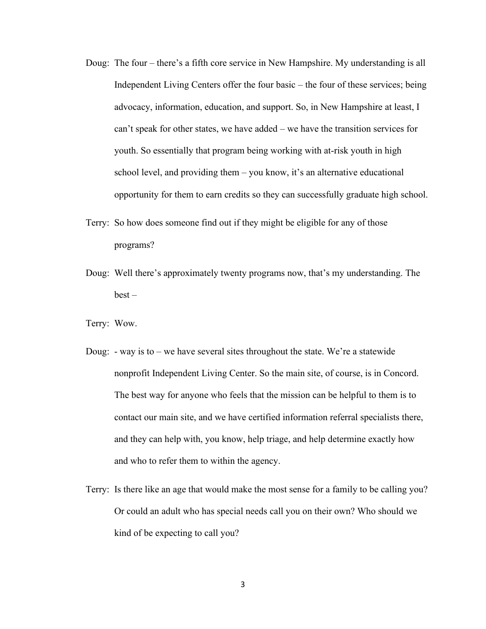- Doug: The four there's a fifth core service in New Hampshire. My understanding is all Independent Living Centers offer the four basic – the four of these services; being advocacy, information, education, and support. So, in New Hampshire at least, I can't speak for other states, we have added – we have the transition services for youth. So essentially that program being working with at-risk youth in high school level, and providing them – you know, it's an alternative educational opportunity for them to earn credits so they can successfully graduate high school.
- Terry: So how does someone find out if they might be eligible for any of those programs?
- Doug: Well there's approximately twenty programs now, that's my understanding. The  $best -$
- Terry: Wow.
- Doug: way is to we have several sites throughout the state. We're a statewide nonprofit Independent Living Center. So the main site, of course, is in Concord. The best way for anyone who feels that the mission can be helpful to them is to contact our main site, and we have certified information referral specialists there, and they can help with, you know, help triage, and help determine exactly how and who to refer them to within the agency.
- Terry: Is there like an age that would make the most sense for a family to be calling you? Or could an adult who has special needs call you on their own? Who should we kind of be expecting to call you?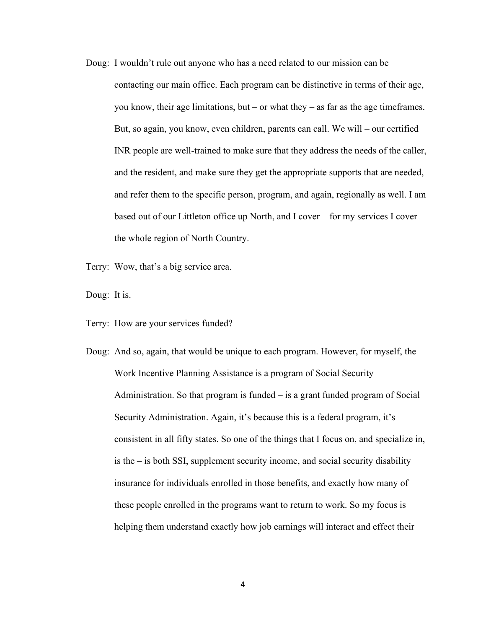Doug: I wouldn't rule out anyone who has a need related to our mission can be contacting our main office. Each program can be distinctive in terms of their age, you know, their age limitations, but – or what they – as far as the age timeframes. But, so again, you know, even children, parents can call. We will – our certified INR people are well-trained to make sure that they address the needs of the caller, and the resident, and make sure they get the appropriate supports that are needed, and refer them to the specific person, program, and again, regionally as well. I am based out of our Littleton office up North, and I cover – for my services I cover the whole region of North Country.

Terry: Wow, that's a big service area.

Doug: It is.

Terry: How are your services funded?

Doug: And so, again, that would be unique to each program. However, for myself, the Work Incentive Planning Assistance is a program of Social Security Administration. So that program is funded – is a grant funded program of Social Security Administration. Again, it's because this is a federal program, it's consistent in all fifty states. So one of the things that I focus on, and specialize in, is the – is both SSI, supplement security income, and social security disability insurance for individuals enrolled in those benefits, and exactly how many of these people enrolled in the programs want to return to work. So my focus is helping them understand exactly how job earnings will interact and effect their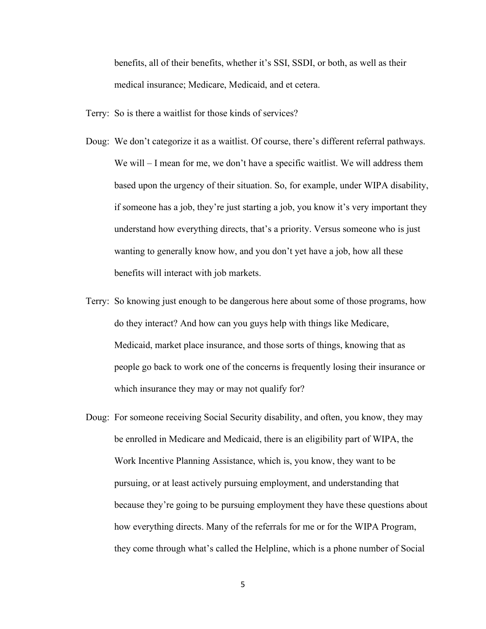benefits, all of their benefits, whether it's SSI, SSDI, or both, as well as their medical insurance; Medicare, Medicaid, and et cetera.

Terry: So is there a waitlist for those kinds of services?

- Doug: We don't categorize it as a waitlist. Of course, there's different referral pathways. We will – I mean for me, we don't have a specific waitlist. We will address them based upon the urgency of their situation. So, for example, under WIPA disability, if someone has a job, they're just starting a job, you know it's very important they understand how everything directs, that's a priority. Versus someone who is just wanting to generally know how, and you don't yet have a job, how all these benefits will interact with job markets.
- Terry: So knowing just enough to be dangerous here about some of those programs, how do they interact? And how can you guys help with things like Medicare, Medicaid, market place insurance, and those sorts of things, knowing that as people go back to work one of the concerns is frequently losing their insurance or which insurance they may or may not qualify for?
- Doug: For someone receiving Social Security disability, and often, you know, they may be enrolled in Medicare and Medicaid, there is an eligibility part of WIPA, the Work Incentive Planning Assistance, which is, you know, they want to be pursuing, or at least actively pursuing employment, and understanding that because they're going to be pursuing employment they have these questions about how everything directs. Many of the referrals for me or for the WIPA Program, they come through what's called the Helpline, which is a phone number of Social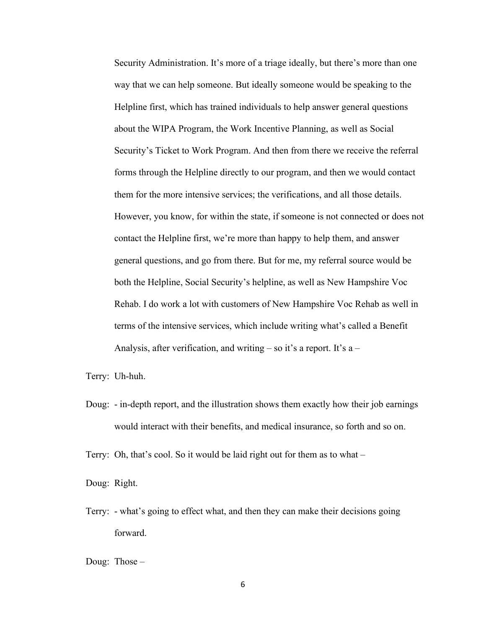Security Administration. It's more of a triage ideally, but there's more than one way that we can help someone. But ideally someone would be speaking to the Helpline first, which has trained individuals to help answer general questions about the WIPA Program, the Work Incentive Planning, as well as Social Security's Ticket to Work Program. And then from there we receive the referral forms through the Helpline directly to our program, and then we would contact them for the more intensive services; the verifications, and all those details. However, you know, for within the state, if someone is not connected or does not contact the Helpline first, we're more than happy to help them, and answer general questions, and go from there. But for me, my referral source would be both the Helpline, Social Security's helpline, as well as New Hampshire Voc Rehab. I do work a lot with customers of New Hampshire Voc Rehab as well in terms of the intensive services, which include writing what's called a Benefit Analysis, after verification, and writing  $-$  so it's a report. It's a  $-$ 

Terry: Uh-huh.

Doug: - in-depth report, and the illustration shows them exactly how their job earnings would interact with their benefits, and medical insurance, so forth and so on.

Terry: Oh, that's cool. So it would be laid right out for them as to what –

Doug: Right.

Terry: - what's going to effect what, and then they can make their decisions going forward.

Doug: Those –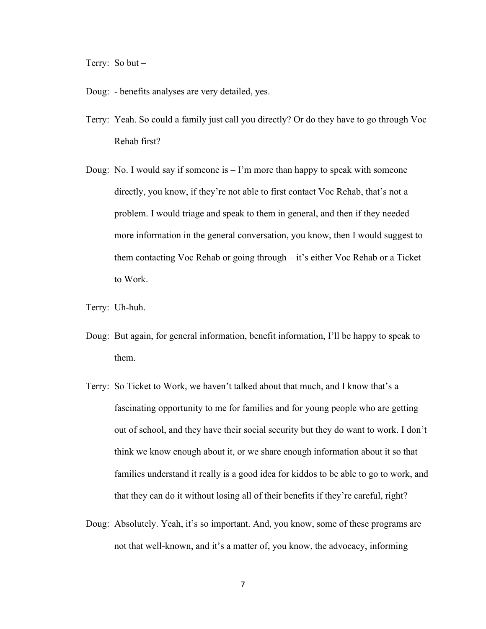Terry: So but –

- Doug: benefits analyses are very detailed, yes.
- Terry: Yeah. So could a family just call you directly? Or do they have to go through Voc Rehab first?
- Doug: No. I would say if someone is  $-1$ 'm more than happy to speak with someone directly, you know, if they're not able to first contact Voc Rehab, that's not a problem. I would triage and speak to them in general, and then if they needed more information in the general conversation, you know, then I would suggest to them contacting Voc Rehab or going through – it's either Voc Rehab or a Ticket to Work.
- Terry: Uh-huh.
- Doug: But again, for general information, benefit information, I'll be happy to speak to them.
- Terry: So Ticket to Work, we haven't talked about that much, and I know that's a fascinating opportunity to me for families and for young people who are getting out of school, and they have their social security but they do want to work. I don't think we know enough about it, or we share enough information about it so that families understand it really is a good idea for kiddos to be able to go to work, and that they can do it without losing all of their benefits if they're careful, right?
- Doug: Absolutely. Yeah, it's so important. And, you know, some of these programs are not that well-known, and it's a matter of, you know, the advocacy, informing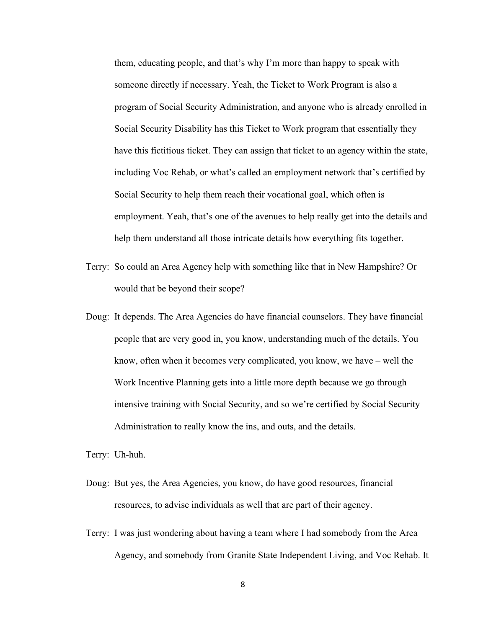them, educating people, and that's why I'm more than happy to speak with someone directly if necessary. Yeah, the Ticket to Work Program is also a program of Social Security Administration, and anyone who is already enrolled in Social Security Disability has this Ticket to Work program that essentially they have this fictitious ticket. They can assign that ticket to an agency within the state, including Voc Rehab, or what's called an employment network that's certified by Social Security to help them reach their vocational goal, which often is employment. Yeah, that's one of the avenues to help really get into the details and help them understand all those intricate details how everything fits together.

- Terry: So could an Area Agency help with something like that in New Hampshire? Or would that be beyond their scope?
- Doug: It depends. The Area Agencies do have financial counselors. They have financial people that are very good in, you know, understanding much of the details. You know, often when it becomes very complicated, you know, we have – well the Work Incentive Planning gets into a little more depth because we go through intensive training with Social Security, and so we're certified by Social Security Administration to really know the ins, and outs, and the details.

Terry: Uh-huh.

- Doug: But yes, the Area Agencies, you know, do have good resources, financial resources, to advise individuals as well that are part of their agency.
- Terry: I was just wondering about having a team where I had somebody from the Area Agency, and somebody from Granite State Independent Living, and Voc Rehab. It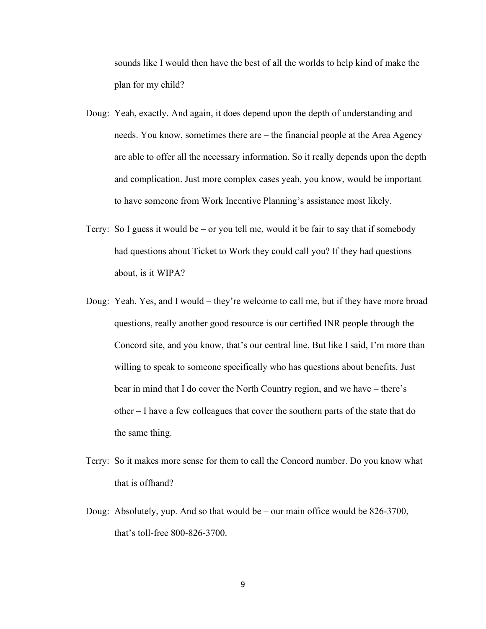sounds like I would then have the best of all the worlds to help kind of make the plan for my child?

- Doug: Yeah, exactly. And again, it does depend upon the depth of understanding and needs. You know, sometimes there are – the financial people at the Area Agency are able to offer all the necessary information. So it really depends upon the depth and complication. Just more complex cases yeah, you know, would be important to have someone from Work Incentive Planning's assistance most likely.
- Terry: So I guess it would be or you tell me, would it be fair to say that if somebody had questions about Ticket to Work they could call you? If they had questions about, is it WIPA?
- Doug: Yeah. Yes, and I would they're welcome to call me, but if they have more broad questions, really another good resource is our certified INR people through the Concord site, and you know, that's our central line. But like I said, I'm more than willing to speak to someone specifically who has questions about benefits. Just bear in mind that I do cover the North Country region, and we have – there's other – I have a few colleagues that cover the southern parts of the state that do the same thing.
- Terry: So it makes more sense for them to call the Concord number. Do you know what that is offhand?
- Doug: Absolutely, yup. And so that would be our main office would be 826-3700, that's toll-free 800-826-3700.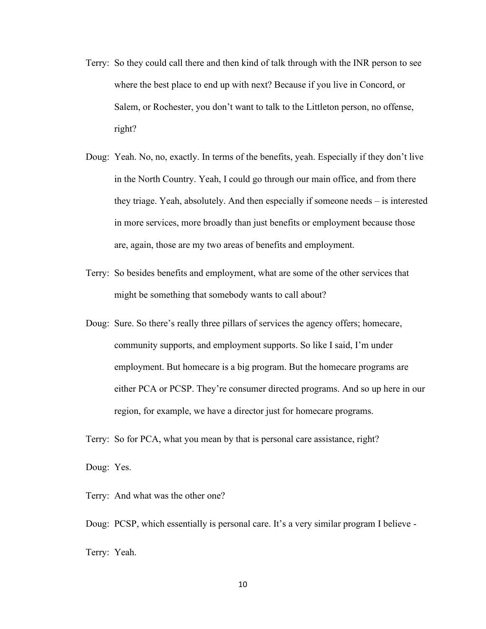- Terry: So they could call there and then kind of talk through with the INR person to see where the best place to end up with next? Because if you live in Concord, or Salem, or Rochester, you don't want to talk to the Littleton person, no offense, right?
- Doug: Yeah. No, no, exactly. In terms of the benefits, yeah. Especially if they don't live in the North Country. Yeah, I could go through our main office, and from there they triage. Yeah, absolutely. And then especially if someone needs – is interested in more services, more broadly than just benefits or employment because those are, again, those are my two areas of benefits and employment.
- Terry: So besides benefits and employment, what are some of the other services that might be something that somebody wants to call about?
- Doug: Sure. So there's really three pillars of services the agency offers; homecare, community supports, and employment supports. So like I said, I'm under employment. But homecare is a big program. But the homecare programs are either PCA or PCSP. They're consumer directed programs. And so up here in our region, for example, we have a director just for homecare programs.

Terry: So for PCA, what you mean by that is personal care assistance, right?

Doug: Yes.

Terry: And what was the other one?

Doug: PCSP, which essentially is personal care. It's a very similar program I believe - Terry: Yeah.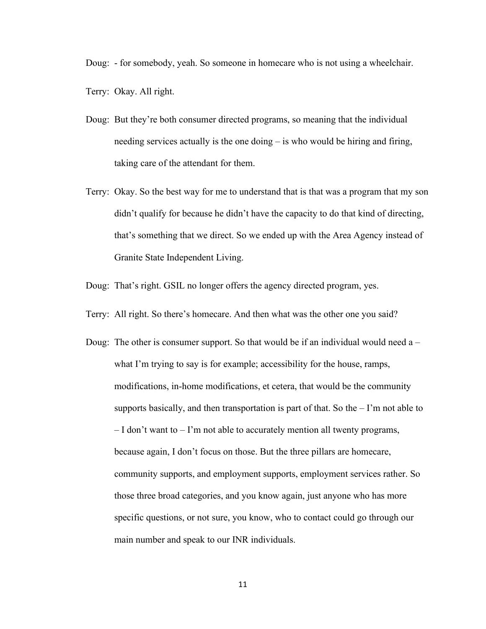Doug: - for somebody, yeah. So someone in homecare who is not using a wheelchair.

Terry: Okay. All right.

- Doug: But they're both consumer directed programs, so meaning that the individual needing services actually is the one doing – is who would be hiring and firing, taking care of the attendant for them.
- Terry: Okay. So the best way for me to understand that is that was a program that my son didn't qualify for because he didn't have the capacity to do that kind of directing, that's something that we direct. So we ended up with the Area Agency instead of Granite State Independent Living.
- Doug: That's right. GSIL no longer offers the agency directed program, yes.
- Terry: All right. So there's homecare. And then what was the other one you said?
- Doug: The other is consumer support. So that would be if an individual would need a what I'm trying to say is for example; accessibility for the house, ramps, modifications, in-home modifications, et cetera, that would be the community supports basically, and then transportation is part of that. So the  $-1$ 'm not able to – I don't want to – I'm not able to accurately mention all twenty programs, because again, I don't focus on those. But the three pillars are homecare, community supports, and employment supports, employment services rather. So those three broad categories, and you know again, just anyone who has more specific questions, or not sure, you know, who to contact could go through our main number and speak to our INR individuals.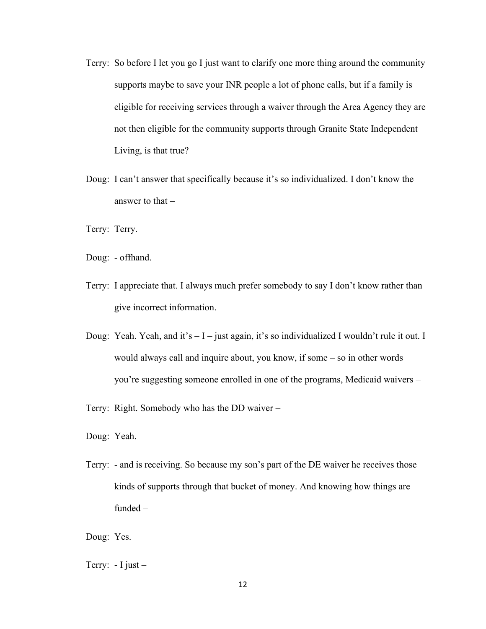- Terry: So before I let you go I just want to clarify one more thing around the community supports maybe to save your INR people a lot of phone calls, but if a family is eligible for receiving services through a waiver through the Area Agency they are not then eligible for the community supports through Granite State Independent Living, is that true?
- Doug: I can't answer that specifically because it's so individualized. I don't know the answer to that –

Terry: Terry.

Doug: - offhand.

- Terry: I appreciate that. I always much prefer somebody to say I don't know rather than give incorrect information.
- Doug: Yeah. Yeah, and it's  $I -$  just again, it's so individualized I wouldn't rule it out. I would always call and inquire about, you know, if some – so in other words you're suggesting someone enrolled in one of the programs, Medicaid waivers –
- Terry: Right. Somebody who has the DD waiver –

Doug: Yeah.

Terry: - and is receiving. So because my son's part of the DE waiver he receives those kinds of supports through that bucket of money. And knowing how things are funded –

Doug: Yes.

Terry:  $-I$  just  $-$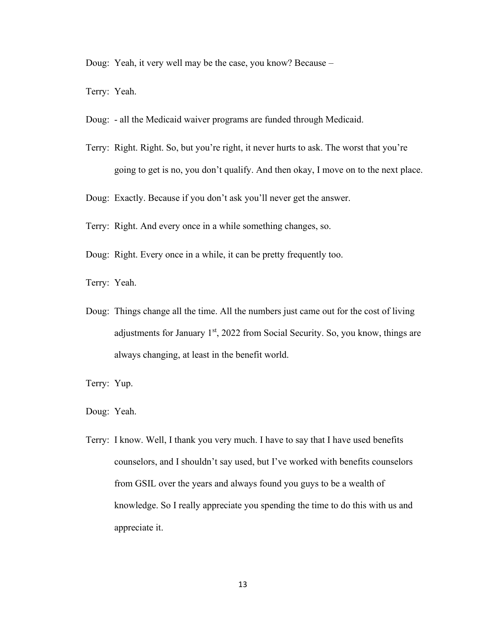Doug: Yeah, it very well may be the case, you know? Because –

Terry: Yeah.

- Doug: all the Medicaid waiver programs are funded through Medicaid.
- Terry: Right. Right. So, but you're right, it never hurts to ask. The worst that you're going to get is no, you don't qualify. And then okay, I move on to the next place.

Doug: Exactly. Because if you don't ask you'll never get the answer.

- Terry: Right. And every once in a while something changes, so.
- Doug: Right. Every once in a while, it can be pretty frequently too.

Terry: Yeah.

Doug: Things change all the time. All the numbers just came out for the cost of living adjustments for January  $1<sup>st</sup>$ , 2022 from Social Security. So, you know, things are always changing, at least in the benefit world.

Terry: Yup.

Doug: Yeah.

Terry: I know. Well, I thank you very much. I have to say that I have used benefits counselors, and I shouldn't say used, but I've worked with benefits counselors from GSIL over the years and always found you guys to be a wealth of knowledge. So I really appreciate you spending the time to do this with us and appreciate it.